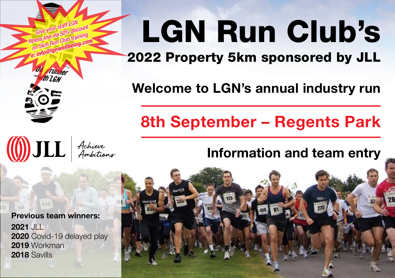# LGN Run Club's

2022 Property 5km sponsored by JLL

**Welcome to LGN's annual industry run**

## **8th September – Regents Park**

## **Information and team entry**



**Previous team winners: 2021** JLL **2020** Covid-19 delayed play **2019** Workman **2018** Savills

*Give your staff LGN fitness love via 50% discount on 5km Run Club training e: info@lgnwellbeing.com*

**Tunder** 

**(1)** JLL Achieve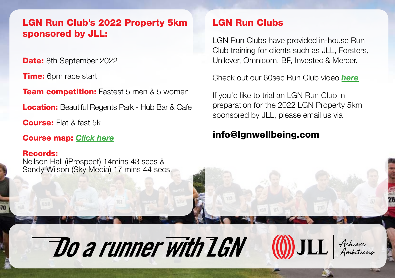#### LGN Run Club's 2022 Property 5km sponsored by JLL:

**Date:** 8th September 2022

**Time:** 6pm race start

**Team competition:** Fastest 5 men & 5 women

**Location:** Beautiful Regents Park - Hub Bar & Cafe

**Course:** Flat & fast 5k

Course map: *[Click here](http://www.lgnwellbeing.com/news/lgn-regents-park-5km-course)*

#### Records:

Neilson Hall (iProspect) 14mins 43 secs & Sandy Wilson (Sky Media) 17 mins 44 secs.

Do a runner with LGN

### LGN Run Clubs

LGN Run Clubs have provided in-house Run Club training for clients such as JLL, Forsters, Unilever, Omnicom, BP, Investec & Mercer.

Check out our 60sec Run Club video *[here](http://vimeo.com/192776712)*

If you'd like to trial an LGN Run Club in preparation for the 2022 LGN Property 5km sponsored by JLL, please email us via

**(0)** JLL

#### info@lgnwellbeing.com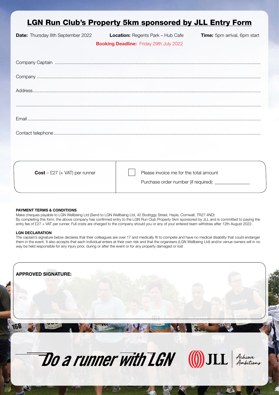## LGN Run Club's Property 5km sponsored by JLL Entry Form

**Date:** Thursday 8th September 2022 **Location:** Regents Park – Hub Cafe **Time:** 5pm arrival, 6pm start

**Booking Deadline:** Friday 29th July 2022

Company Captain .............................................................................................................................................................. Company ............................................................................................................................................................................ Address............................................................................................................................................................................... ............................................................................................................................................................................................ Email ................................................................................................................................................................................... Contact telephone...............................................................................................................................................................

| $Cost - £27 (+ VAT)$ per runner | Please invoice me for the total amount<br>Purchase order number (if required): |
|---------------------------------|--------------------------------------------------------------------------------|
|                                 |                                                                                |

#### **PAYMENT TERMS & CONDITIONS**

Make cheques payable to LGN Wellbeing Ltd (Send to LGN Wellbeing Ltd, 42 Bodriggy Street, Hayle, Cornwall, TR27 4ND) By completing this form, the above company has confirmed entry to the LGN Run Club Property 5km sponsored by JLL and is committed to paying the entry fee of £27 + VAT per runner. Full costs are charged to the company should you or any of your entered team withdraw after 12th August 2022.

#### **LGN DECLARATION**

The captain's signature below declares that their colleagues are over 17 and medically fit to compete and have no medical disability that could endanger them in the event. It also accepts that each individual enters at their own risk and that the organisers (LGN Wellbeing Ltd) and/or venue owners will in no way be held responsible for any injury prior, during or after the event or for any property damaged or lost

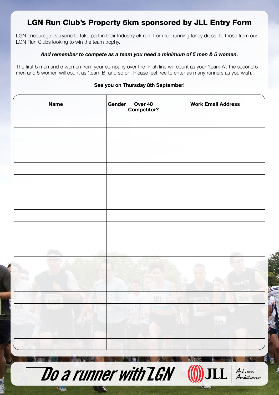## LGN Run Club's Property 5km sponsored by JLL Entry Form

LGN encourage everyone to take part in their Industry 5k run, from fun running fancy dress, to those from our LGN Run Clubs looking to win the team trophy.

#### *And remember to compete as a team you need a minimum of 5 men & 5 women.*

The first 5 men and 5 women from your company over the finish line will count as your 'team A', the second 5 men and 5 women will count as 'team B' and so on. Please feel free to enter as many runners as you wish.

#### **See you on Thursday 8th September!**

| <b>Name</b>                          | Gender | Over 40<br><b>Competitor?</b> | <b>Work Email Address</b> |                              |
|--------------------------------------|--------|-------------------------------|---------------------------|------------------------------|
|                                      |        |                               |                           |                              |
|                                      |        |                               |                           |                              |
|                                      |        |                               |                           |                              |
|                                      |        |                               |                           |                              |
|                                      |        |                               |                           |                              |
|                                      |        |                               |                           |                              |
|                                      |        |                               |                           |                              |
|                                      |        |                               |                           |                              |
|                                      |        |                               |                           |                              |
|                                      |        |                               |                           |                              |
|                                      |        |                               |                           | <b>DRAFTECH</b>              |
| <b>REAL</b>                          |        | 16                            | DRAFIFCE<br>350           |                              |
|                                      |        |                               |                           |                              |
|                                      |        |                               |                           |                              |
|                                      |        |                               |                           |                              |
| <b>Do a runner with LGN (()) JLL</b> |        |                               |                           | Achieve<br>Ambition <i>s</i> |